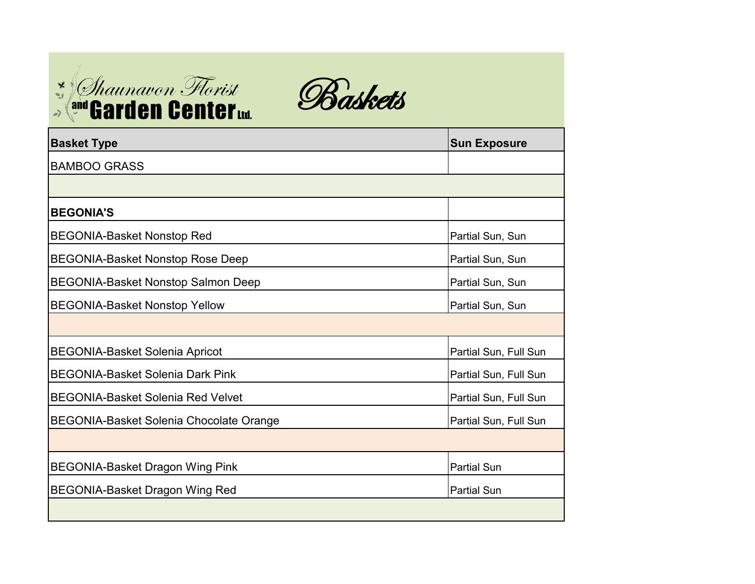



| <b>Basket Type</b>                             | <b>Sun Exposure</b>   |
|------------------------------------------------|-----------------------|
| <b>BAMBOO GRASS</b>                            |                       |
|                                                |                       |
| <b>BEGONIA'S</b>                               |                       |
| <b>BEGONIA-Basket Nonstop Red</b>              | Partial Sun, Sun      |
| <b>BEGONIA-Basket Nonstop Rose Deep</b>        | Partial Sun, Sun      |
| <b>BEGONIA-Basket Nonstop Salmon Deep</b>      | Partial Sun, Sun      |
| <b>BEGONIA-Basket Nonstop Yellow</b>           | Partial Sun, Sun      |
|                                                |                       |
| <b>BEGONIA-Basket Solenia Apricot</b>          | Partial Sun, Full Sun |
| <b>BEGONIA-Basket Solenia Dark Pink</b>        | Partial Sun, Full Sun |
| <b>BEGONIA-Basket Solenia Red Velvet</b>       | Partial Sun, Full Sun |
| <b>BEGONIA-Basket Solenia Chocolate Orange</b> | Partial Sun, Full Sun |
|                                                |                       |
| <b>BEGONIA-Basket Dragon Wing Pink</b>         | <b>Partial Sun</b>    |
| <b>BEGONIA-Basket Dragon Wing Red</b>          | <b>Partial Sun</b>    |
|                                                |                       |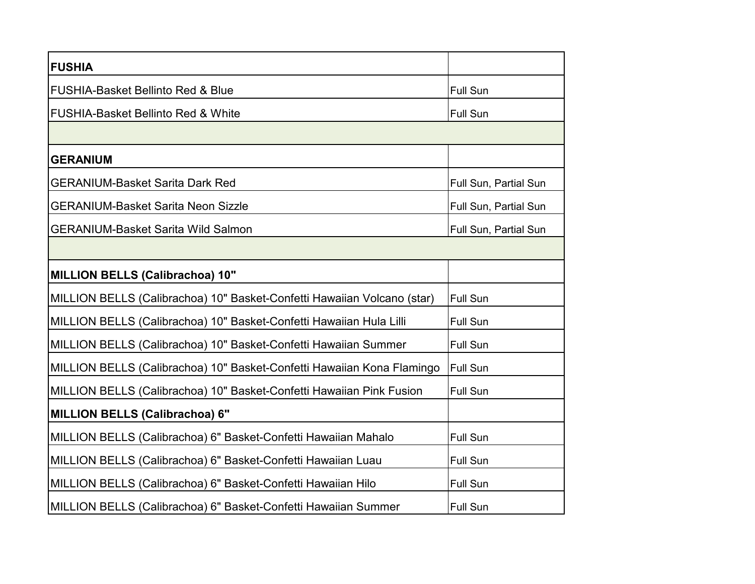| <b>FUSHIA</b>                                                           |                       |
|-------------------------------------------------------------------------|-----------------------|
| <b>FUSHIA-Basket Bellinto Red &amp; Blue</b>                            | <b>Full Sun</b>       |
| <b>FUSHIA-Basket Bellinto Red &amp; White</b>                           | <b>Full Sun</b>       |
|                                                                         |                       |
| <b>GERANIUM</b>                                                         |                       |
| <b>GERANIUM-Basket Sarita Dark Red</b>                                  | Full Sun, Partial Sun |
| <b>GERANIUM-Basket Sarita Neon Sizzle</b>                               | Full Sun, Partial Sun |
| <b>GERANIUM-Basket Sarita Wild Salmon</b>                               | Full Sun, Partial Sun |
|                                                                         |                       |
| <b>MILLION BELLS (Calibrachoa) 10"</b>                                  |                       |
| MILLION BELLS (Calibrachoa) 10" Basket-Confetti Hawaiian Volcano (star) | <b>Full Sun</b>       |
| MILLION BELLS (Calibrachoa) 10" Basket-Confetti Hawaiian Hula Lilli     | <b>Full Sun</b>       |
| MILLION BELLS (Calibrachoa) 10" Basket-Confetti Hawaiian Summer         | <b>Full Sun</b>       |
| MILLION BELLS (Calibrachoa) 10" Basket-Confetti Hawaiian Kona Flamingo  | <b>Full Sun</b>       |
| MILLION BELLS (Calibrachoa) 10" Basket-Confetti Hawaiian Pink Fusion    | <b>Full Sun</b>       |
| <b>MILLION BELLS (Calibrachoa) 6"</b>                                   |                       |
| MILLION BELLS (Calibrachoa) 6" Basket-Confetti Hawaiian Mahalo          | <b>Full Sun</b>       |
| MILLION BELLS (Calibrachoa) 6" Basket-Confetti Hawaiian Luau            | <b>Full Sun</b>       |
| MILLION BELLS (Calibrachoa) 6" Basket-Confetti Hawaiian Hilo            | <b>Full Sun</b>       |
| MILLION BELLS (Calibrachoa) 6" Basket-Confetti Hawaiian Summer          | <b>Full Sun</b>       |